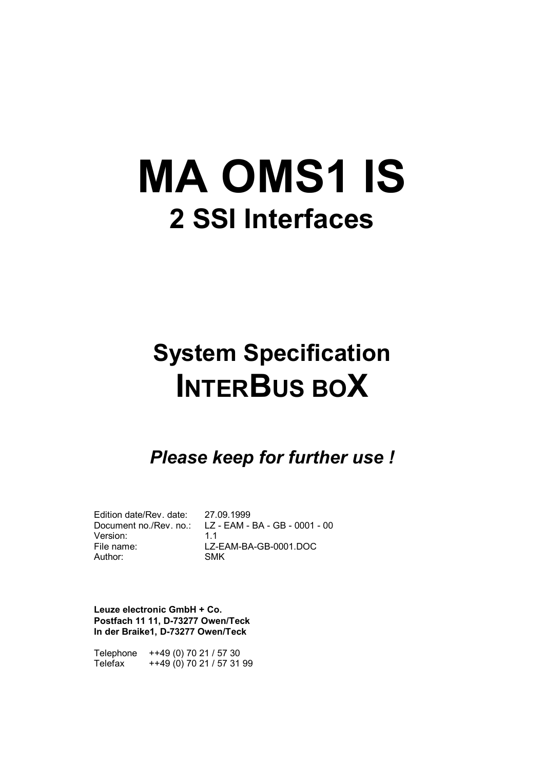# **MA OMS1 IS 2 SSI Interfaces**

## **System Specification INTERBUS BOX**

## *Please keep for further use !*

Edition date/Rev. date: 27.09.1999 Version: 1.1 Author: SMK

Document no./Rev. no.: LZ - EAM - BA - GB - 0001 - 00 File name: LZ-EAM-BA-GB-0001.DOC

**Leuze electronic GmbH + Co. Postfach 11 11, D-73277 Owen/Teck In der Braike1, D-73277 Owen/Teck**

Telephone ++49 (0) 70 21 / 57 30 Telefax ++49 (0) 70 21 / 57 31 99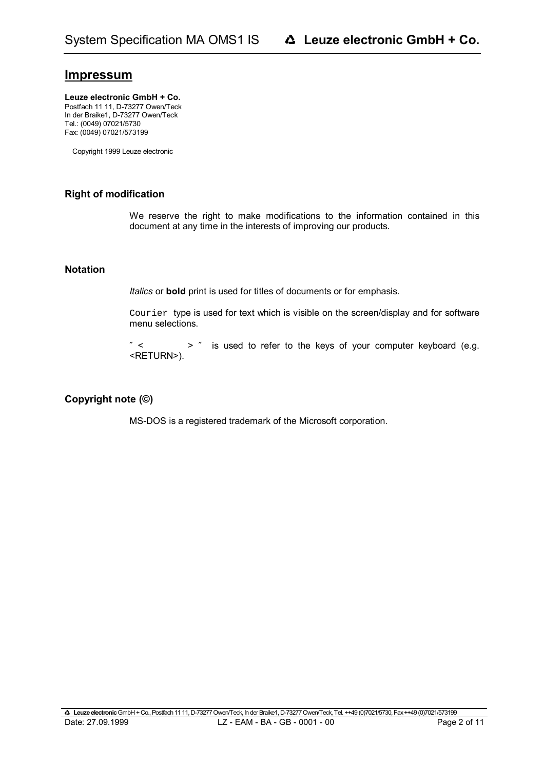## **Impressum**

#### Leuze electronic GmbH + Co.

Postfach 11 11, D-73277 Owen/Teck In der Braike1, D-73277 Owen/Teck Tel.: (0049) 07021/5730 Fax: (0049) 07021/573199

Copyright 1999 Leuze electronic

### **Right of modification**

We reserve the right to make modifications to the information contained in this document at any time in the interests of improving our products.

### **Notation**

*Italics* or **bold** print is used for titles of documents or for emphasis.

Courier type is used for text which is visible on the screen/display and for software menu selections.

 $''$  <  $'$  >  $''$  is used to refer to the keys of your computer keyboard (e.g. <RETURN>).

## **Copyright note (©)**

MS-DOS is a registered trademark of the Microsoft corporation.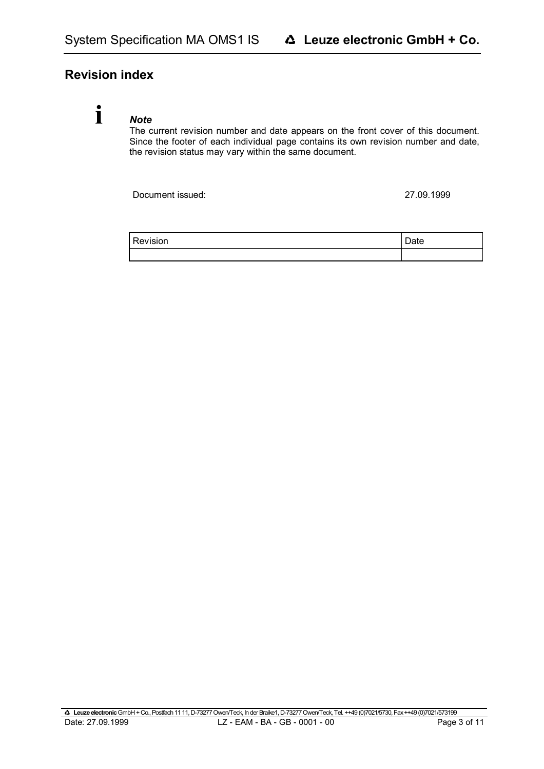## **Revision index**

## **i**

*Note* The current revision number and date appears on the front cover of this document. Since the footer of each individual page contains its own revision number and date, the revision status may vary within the same document.

Document issued: 27.09.1999

| Revision | Date |
|----------|------|
|          |      |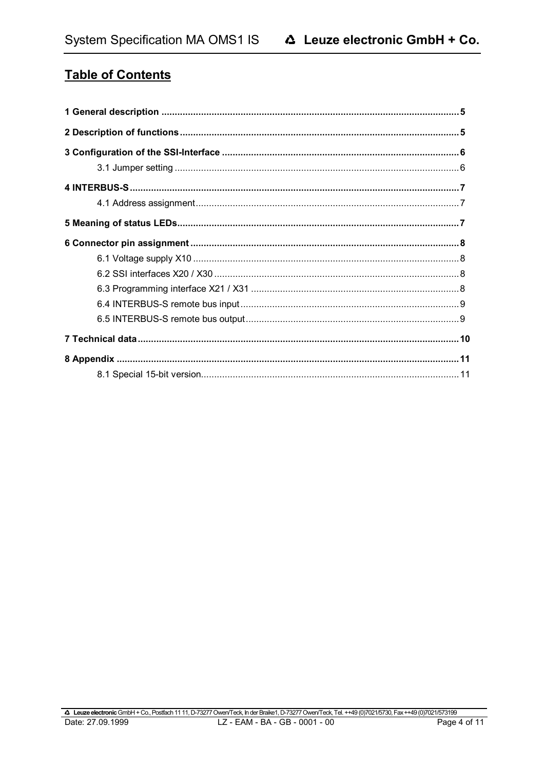## **Table of Contents**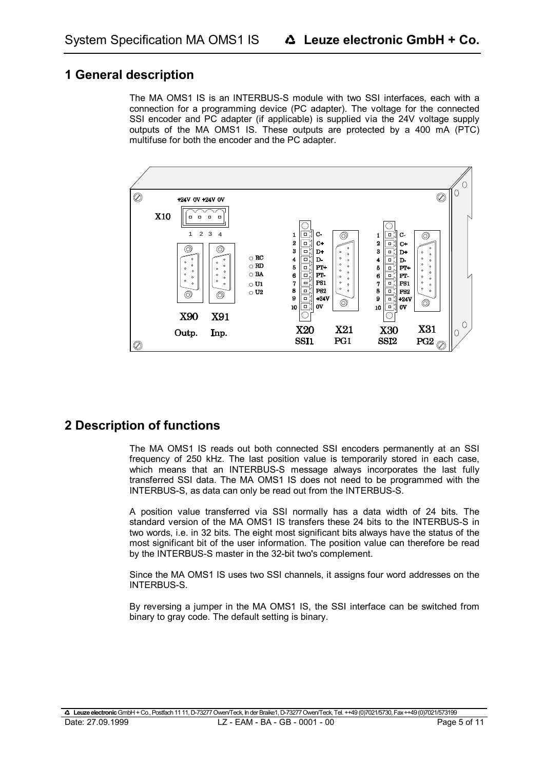## **1 General description**

The MA OMS1 IS is an INTERBUS-S module with two SSI interfaces, each with a connection for a programming device (PC adapter). The voltage for the connected SSI encoder and PC adapter (if applicable) is supplied via the 24V voltage supply outputs of the MA OMS1 IS. These outputs are protected by a 400 mA (PTC) multifuse for both the encoder and the PC adapter.



## **2 Description of functions**

The MA OMS1 IS reads out both connected SSI encoders permanently at an SSI frequency of 250 kHz. The last position value is temporarily stored in each case, which means that an INTERBUS-S message always incorporates the last fully transferred SSI data. The MA OMS1 IS does not need to be programmed with the INTERBUS-S, as data can only be read out from the INTERBUS-S.

A position value transferred via SSI normally has a data width of 24 bits. The standard version of the MA OMS1 IS transfers these 24 bits to the INTERBUS-S in two words, i.e. in 32 bits. The eight most significant bits always have the status of the most significant bit of the user information. The position value can therefore be read by the INTERBUS-S master in the 32-bit two's complement.

Since the MA OMS1 IS uses two SSI channels, it assigns four word addresses on the INTERBUS-S.

By reversing a jumper in the MA OMS1 IS, the SSI interface can be switched from binary to gray code. The default setting is binary.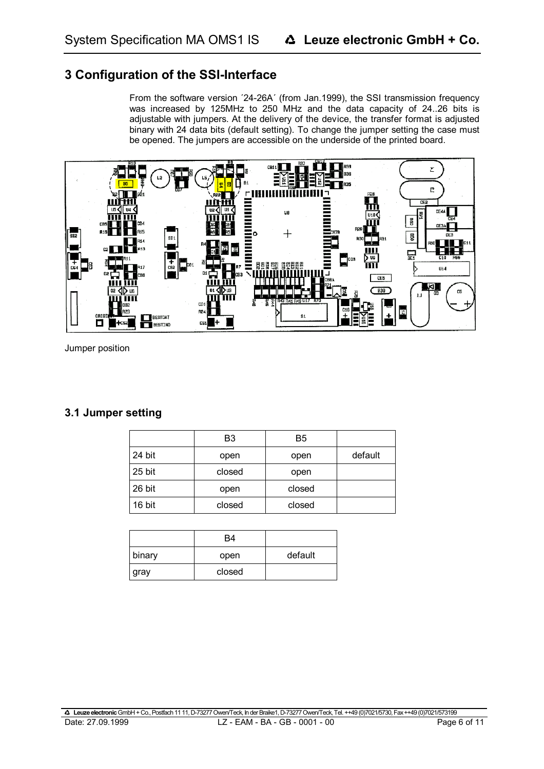## **3 Configuration of the SSI-Interface**

From the software version ´24-26A´ (from Jan.1999), the SSI transmission frequency was increased by 125MHz to 250 MHz and the data capacity of 24..26 bits is adjustable with jumpers. At the delivery of the device, the transfer format is adjusted binary with 24 data bits (default setting). To change the jumper setting the case must be opened. The jumpers are accessible on the underside of the printed board.



Jumper position

## **3.1 Jumper setting**

|        | B3     | B5     |         |
|--------|--------|--------|---------|
| 24 bit | open   | open   | default |
| 25 bit | closed | open   |         |
| 26 bit | open   | closed |         |
| 16 bit | closed | closed |         |

|        | B4     |         |
|--------|--------|---------|
| binary | open   | default |
| gray   | closed |         |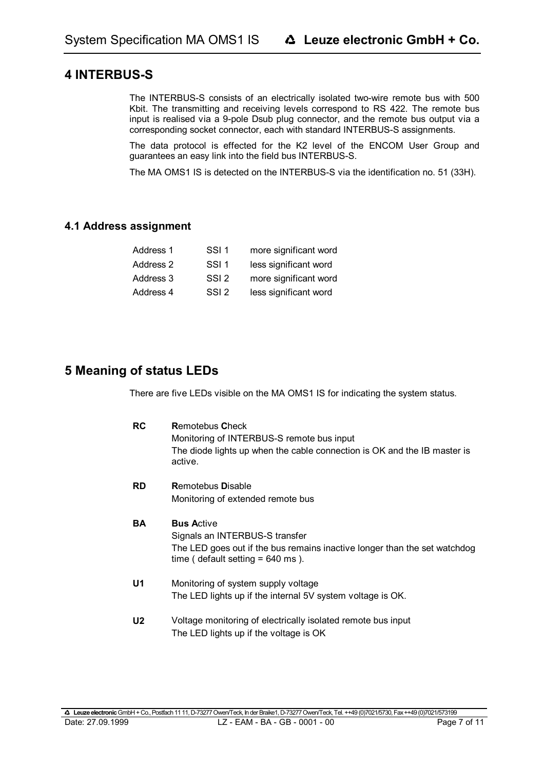## **4 INTERBUS-S**

The INTERBUS-S consists of an electrically isolated two-wire remote bus with 500 Kbit. The transmitting and receiving levels correspond to RS 422. The remote bus input is realised via a 9-pole Dsub plug connector, and the remote bus output via a corresponding socket connector, each with standard INTERBUS-S assignments.

The data protocol is effected for the K2 level of the ENCOM User Group and guarantees an easy link into the field bus INTERBUS-S.

The MA OMS1 IS is detected on the INTERBUS-S via the identification no. 51 (33H).

## **4.1 Address assignment**

| Address 1 | SSI 1            | more significant word |
|-----------|------------------|-----------------------|
| Address 2 | SSI 1            | less significant word |
| Address 3 | SSI <sub>2</sub> | more significant word |
| Address 4 | SSI <sub>2</sub> | less significant word |

## **5 Meaning of status LEDs**

There are five LEDs visible on the MA OMS1 IS for indicating the system status.

| <b>RC</b>      | <b>Remotebus Check</b><br>Monitoring of INTERBUS-S remote bus input<br>The diode lights up when the cable connection is OK and the IB master is<br>active.             |
|----------------|------------------------------------------------------------------------------------------------------------------------------------------------------------------------|
| <b>RD</b>      | <b>Remotebus Disable</b><br>Monitoring of extended remote bus                                                                                                          |
| <b>BA</b>      | <b>Bus Active</b><br>Signals an INTERBUS-S transfer<br>The LED goes out if the bus remains inactive longer than the set watchdog<br>time (default setting $= 640$ ms). |
| U1             | Monitoring of system supply voltage<br>The LED lights up if the internal 5V system voltage is OK.                                                                      |
| U <sub>2</sub> | Voltage monitoring of electrically isolated remote bus input<br>The LED lights up if the voltage is OK                                                                 |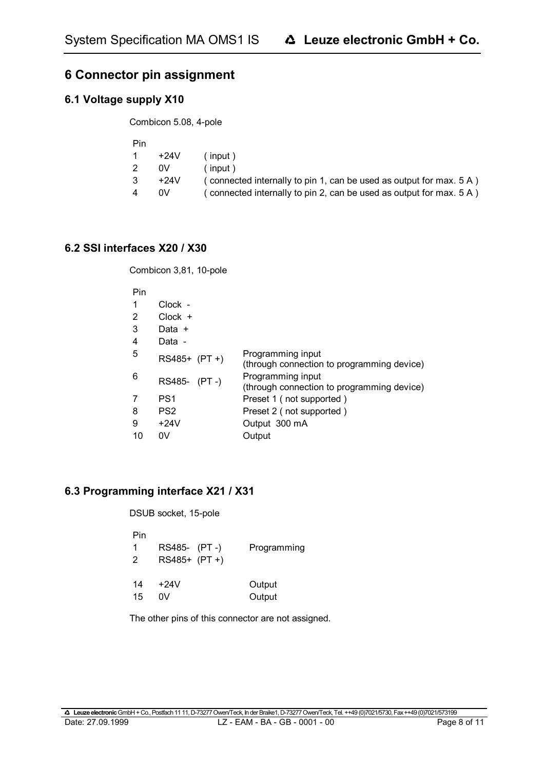## **6 Connector pin assignment**

## **6.1 Voltage supply X10**

Combicon 5.08, 4-pole

| Pin |        |                                                                     |
|-----|--------|---------------------------------------------------------------------|
|     | +24V   | $($ input)                                                          |
|     | 0V     | $($ input)                                                          |
| 3.  | $+24V$ | (connected internally to pin 1, can be used as output for max. 5 A) |
| 4   | 0V     | (connected internally to pin 2, can be used as output for max. 5 A) |

## **6.2 SSI interfaces X20 / X30**

Combicon 3,81, 10-pole

| .  |                 |                                                                 |
|----|-----------------|-----------------------------------------------------------------|
| 1  | Clock -         |                                                                 |
| 2  | $Clock +$       |                                                                 |
| 3  | Data +          |                                                                 |
| 4  | Data -          |                                                                 |
| 5  | RS485+ (PT +)   | Programming input<br>(through connection to programming device) |
| 6  | RS485- (PT-)    | Programming input<br>(through connection to programming device) |
| 7  | PS <sub>1</sub> | Preset 1 (not supported)                                        |
| 8  | PS <sub>2</sub> | Preset 2 (not supported)                                        |
| 9  | $+24V$          | Output 300 mA                                                   |
| 10 | 0V              | Output                                                          |
|    |                 |                                                                 |

## **6.3 Programming interface X21 / X31**

DSUB socket, 15-pole

| Pin<br>$\overline{2}$ | RS485- (PT-)<br>RS485+ (PT +) | Programming |
|-----------------------|-------------------------------|-------------|
| 14                    | $+24V$                        | Output      |
| 15                    | ۵V                            | Output      |

The other pins of this connector are not assigned.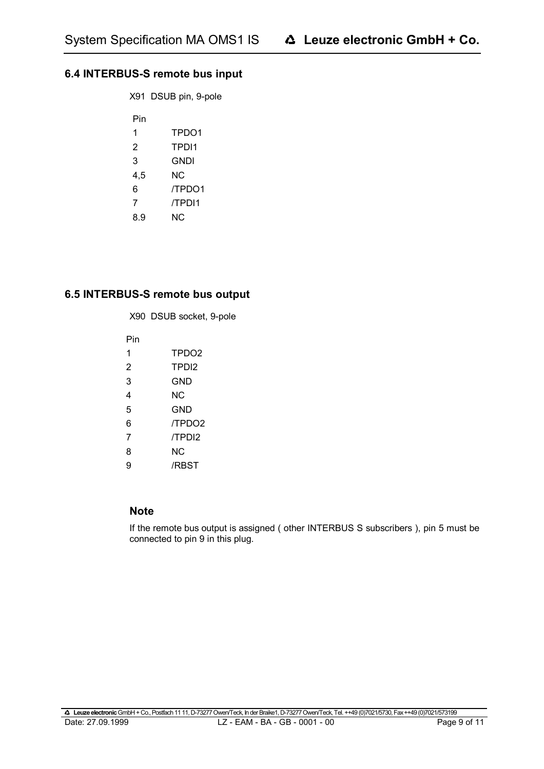## **6.4 INTERBUS-S remote bus input**

X91 DSUB pin, 9-pole

| Pin |        |
|-----|--------|
| 1   | TPDO1  |
| 2   | TPDI1  |
| 3   | GNDI   |
| 4,5 | ΝC     |
| 6   | /TPDO1 |
| 7   | /TPDI1 |
| 8.9 | NC.    |

### **6.5 INTERBUS-S remote bus output**

X90 DSUB socket, 9-pole

Pin

- 1 TPDO2
- 2 TPDI2
- 3 GND
- 4 NC
- 5 GND
- 6 /TPDO2
- 7 /TPDI2
- 8 NC
- 9 /RBST

## **Note**

If the remote bus output is assigned ( other INTERBUS S subscribers ), pin 5 must be connected to pin 9 in this plug.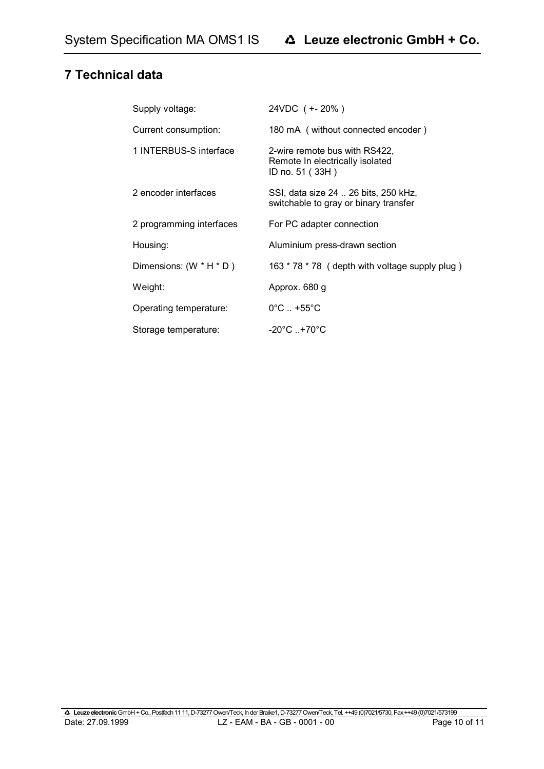## **7 Technical data**

| Supply voltage:          | 24VDC ( +- 20% )                                                                    |
|--------------------------|-------------------------------------------------------------------------------------|
| Current consumption:     | 180 mA (without connected encoder)                                                  |
| 1 INTERBUS-S interface   | 2-wire remote bus with RS422,<br>Remote In electrically isolated<br>ID no. 51 (33H) |
| 2 encoder interfaces     | SSI, data size 24  26 bits, 250 kHz,<br>switchable to gray or binary transfer       |
| 2 programming interfaces | For PC adapter connection                                                           |
| Housing:                 | Aluminium press-drawn section                                                       |
| Dimensions: (W * H * D)  | 163 * 78 * 78 ( depth with voltage supply plug )                                    |
| Weight:                  | Approx. 680 g                                                                       |
| Operating temperature:   | $0^{\circ}$ C $. +55^{\circ}$ C                                                     |
| Storage temperature:     | $-20^{\circ}$ C $+70^{\circ}$ C                                                     |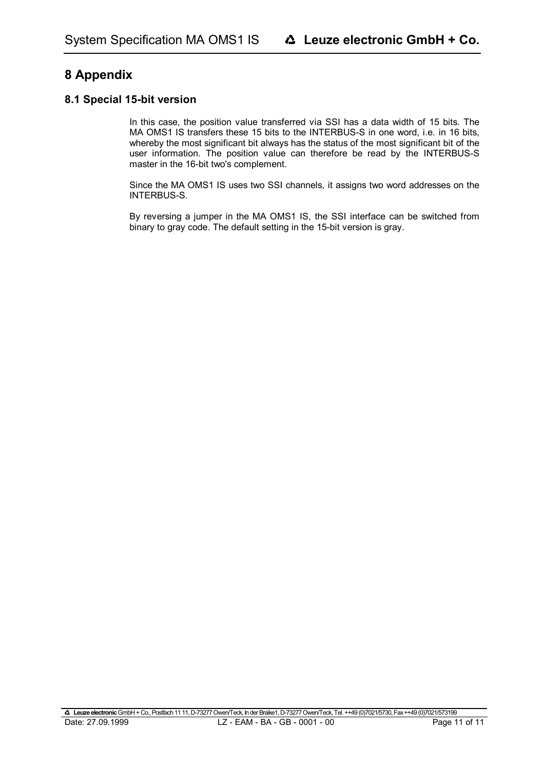## **8 Appendix**

### **8.1 Special 15-bit version**

In this case, the position value transferred via SSI has a data width of 15 bits. The MA OMS1 IS transfers these 15 bits to the INTERBUS-S in one word, i.e. in 16 bits, whereby the most significant bit always has the status of the most significant bit of the user information. The position value can therefore be read by the INTERBUS-S master in the 16-bit two's complement.

Since the MA OMS1 IS uses two SSI channels, it assigns two word addresses on the INTERBUS-S.

By reversing a jumper in the MA OMS1 IS, the SSI interface can be switched from binary to gray code. The default setting in the 15-bit version is gray.